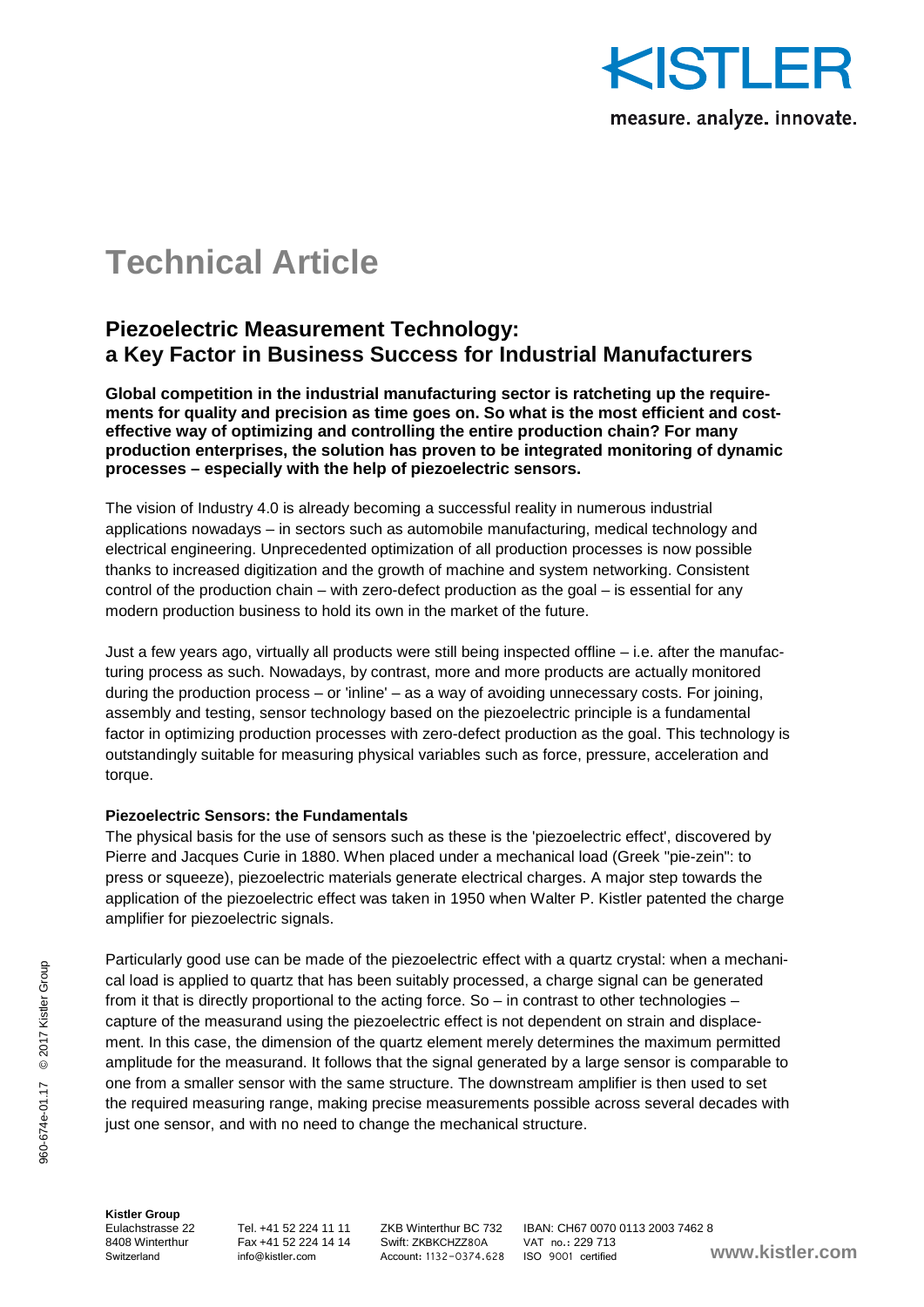

# **Technical Article**

## **Piezoelectric Measurement Technology: a Key Factor in Business Success for Industrial Manufacturers**

**Global competition in the industrial manufacturing sector is ratcheting up the requirements for quality and precision as time goes on. So what is the most efficient and costeffective way of optimizing and controlling the entire production chain? For many production enterprises, the solution has proven to be integrated monitoring of dynamic processes – especially with the help of piezoelectric sensors.**

The vision of Industry 4.0 is already becoming a successful reality in numerous industrial applications nowadays – in sectors such as automobile manufacturing, medical technology and electrical engineering. Unprecedented optimization of all production processes is now possible thanks to increased digitization and the growth of machine and system networking. Consistent control of the production chain – with zero-defect production as the goal – is essential for any modern production business to hold its own in the market of the future.

Just a few years ago, virtually all products were still being inspected offline – i.e. after the manufacturing process as such. Nowadays, by contrast, more and more products are actually monitored during the production process – or 'inline' – as a way of avoiding unnecessary costs. For joining, assembly and testing, sensor technology based on the piezoelectric principle is a fundamental factor in optimizing production processes with zero-defect production as the goal. This technology is outstandingly suitable for measuring physical variables such as force, pressure, acceleration and torque.

## **Piezoelectric Sensors: the Fundamentals**

The physical basis for the use of sensors such as these is the 'piezoelectric effect', discovered by Pierre and Jacques Curie in 1880. When placed under a mechanical load (Greek "pie-zein": to press or squeeze), piezoelectric materials generate electrical charges. A major step towards the application of the piezoelectric effect was taken in 1950 when Walter P. Kistler patented the charge amplifier for piezoelectric signals.

Particularly good use can be made of the piezoelectric effect with a quartz crystal: when a mechanical load is applied to quartz that has been suitably processed, a charge signal can be generated from it that is directly proportional to the acting force. So – in contrast to other technologies – capture of the measurand using the piezoelectric effect is not dependent on strain and displacement. In this case, the dimension of the quartz element merely determines the maximum permitted amplitude for the measurand. It follows that the signal generated by a large sensor is comparable to one from a smaller sensor with the same structure. The downstream amplifier is then used to set the required measuring range, making precise measurements possible across several decades with just one sensor, and with no need to change the mechanical structure.

**Kistler Group**

8408 Winterthur Fax +41 52 224 14 14 Swift: ZKBKCHZZ80A VAT no.: 229 713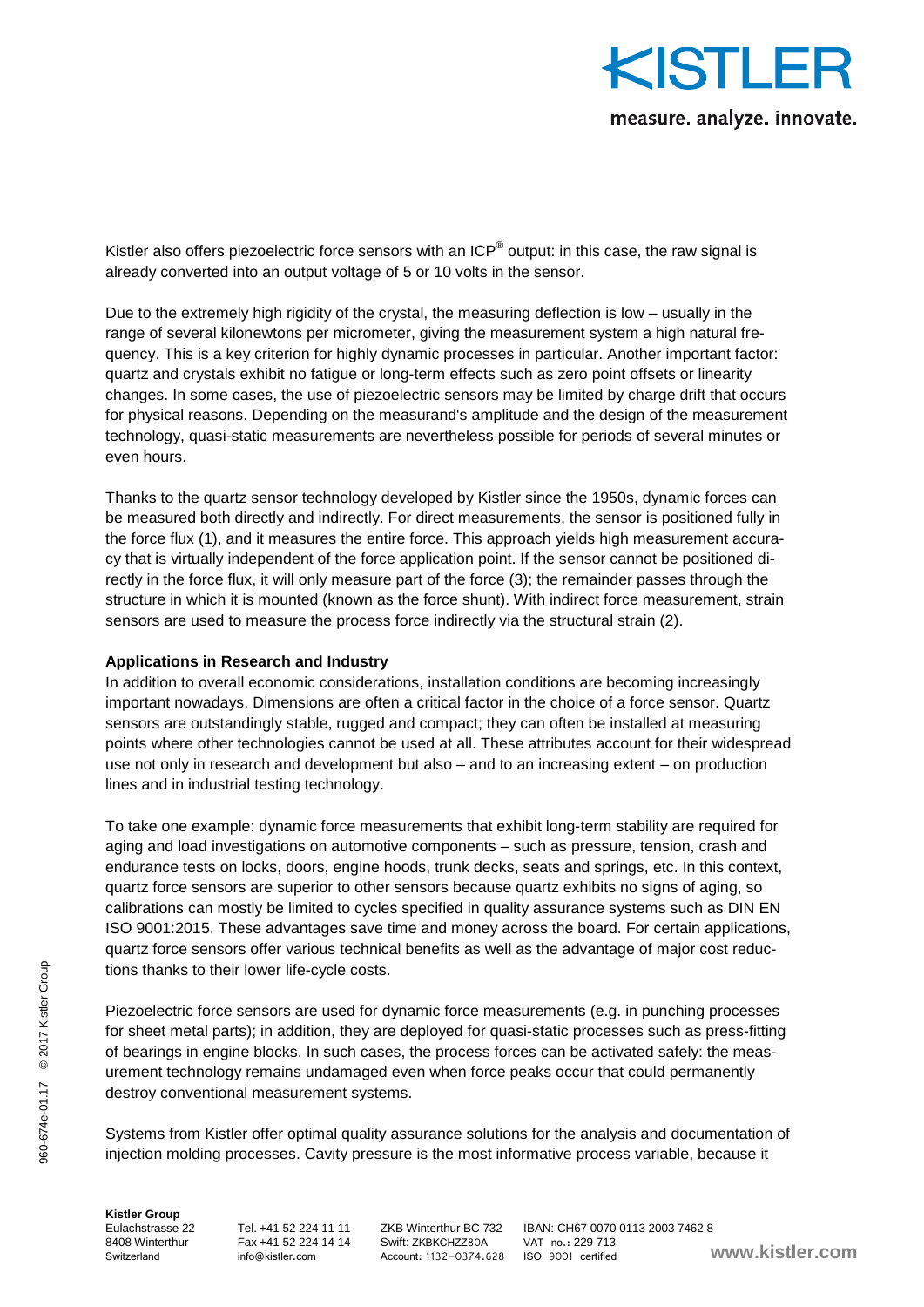

Kistler also offers piezoelectric force sensors with an ICP<sup>®</sup> output: in this case, the raw signal is already converted into an output voltage of 5 or 10 volts in the sensor.

Due to the extremely high rigidity of the crystal, the measuring deflection is low – usually in the range of several kilonewtons per micrometer, giving the measurement system a high natural frequency. This is a key criterion for highly dynamic processes in particular. Another important factor: quartz and crystals exhibit no fatigue or long-term effects such as zero point offsets or linearity changes. In some cases, the use of piezoelectric sensors may be limited by charge drift that occurs for physical reasons. Depending on the measurand's amplitude and the design of the measurement technology, quasi-static measurements are nevertheless possible for periods of several minutes or even hours.

Thanks to the quartz sensor technology developed by Kistler since the 1950s, dynamic forces can be measured both directly and indirectly. For direct measurements, the sensor is positioned fully in the force flux (1), and it measures the entire force. This approach yields high measurement accuracy that is virtually independent of the force application point. If the sensor cannot be positioned directly in the force flux, it will only measure part of the force (3); the remainder passes through the structure in which it is mounted (known as the force shunt). With indirect force measurement, strain sensors are used to measure the process force indirectly via the structural strain (2).

### **Applications in Research and Industry**

In addition to overall economic considerations, installation conditions are becoming increasingly important nowadays. Dimensions are often a critical factor in the choice of a force sensor. Quartz sensors are outstandingly stable, rugged and compact; they can often be installed at measuring points where other technologies cannot be used at all. These attributes account for their widespread use not only in research and development but also – and to an increasing extent – on production lines and in industrial testing technology.

To take one example: dynamic force measurements that exhibit long-term stability are required for aging and load investigations on automotive components – such as pressure, tension, crash and endurance tests on locks, doors, engine hoods, trunk decks, seats and springs, etc. In this context, quartz force sensors are superior to other sensors because quartz exhibits no signs of aging, so calibrations can mostly be limited to cycles specified in quality assurance systems such as DIN EN ISO 9001:2015. These advantages save time and money across the board. For certain applications, quartz force sensors offer various technical benefits as well as the advantage of major cost reductions thanks to their lower life-cycle costs.

Piezoelectric force sensors are used for dynamic force measurements (e.g. in punching processes for sheet metal parts); in addition, they are deployed for quasi-static processes such as press-fitting of bearings in engine blocks. In such cases, the process forces can be activated safely: the measurement technology remains undamaged even when force peaks occur that could permanently destroy conventional measurement systems.

Systems from Kistler offer optimal quality assurance solutions for the analysis and documentation of injection molding processes. Cavity pressure is the most informative process variable, because it

**Kistler Group**

8408 Winterthur Fax +41 52 224 14 14 Swift: ZKBKCHZZ80A VAT no.: 229 713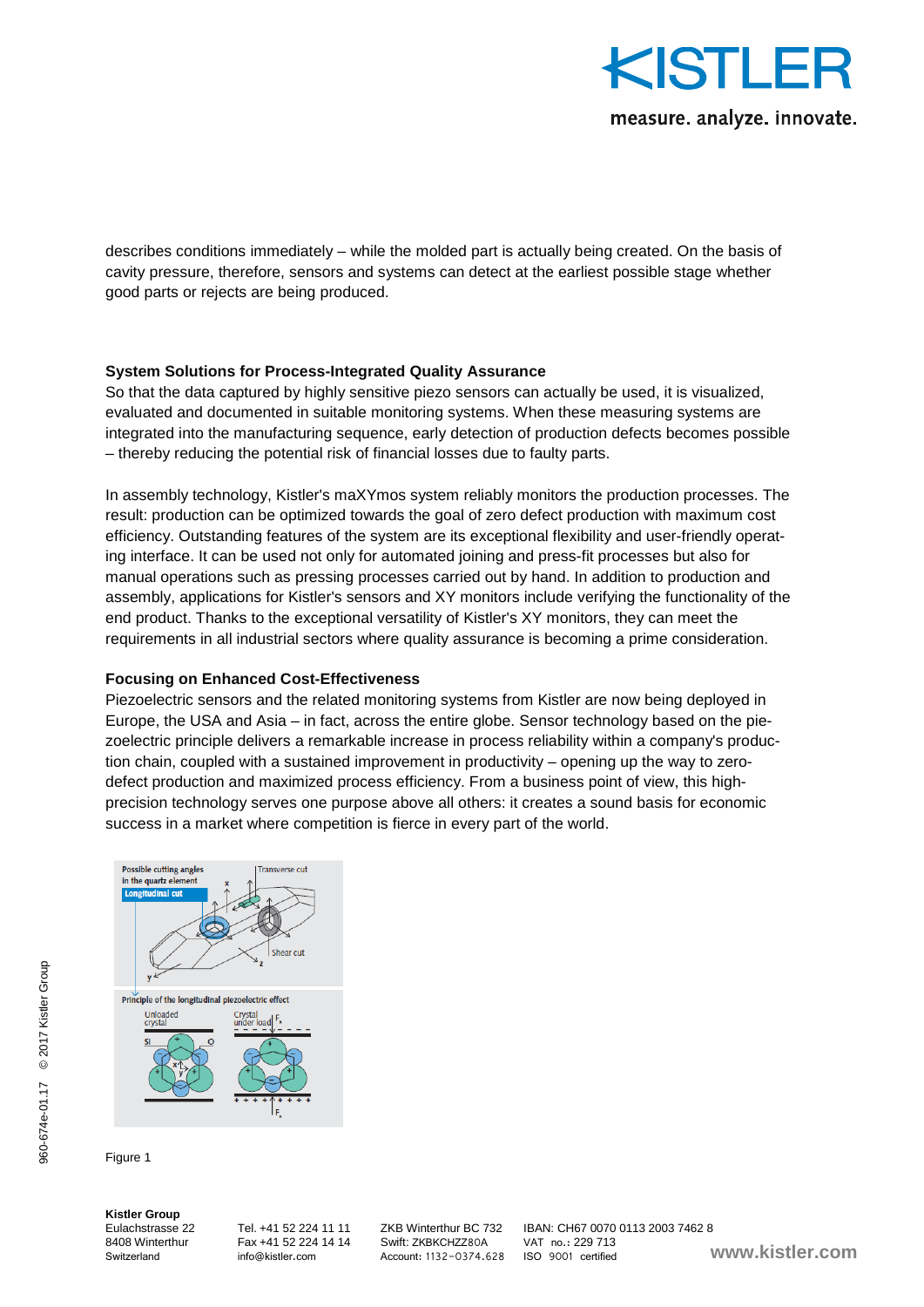

describes conditions immediately – while the molded part is actually being created. On the basis of cavity pressure, therefore, sensors and systems can detect at the earliest possible stage whether good parts or rejects are being produced.

## **System Solutions for Process-Integrated Quality Assurance**

So that the data captured by highly sensitive piezo sensors can actually be used, it is visualized, evaluated and documented in suitable monitoring systems. When these measuring systems are integrated into the manufacturing sequence, early detection of production defects becomes possible – thereby reducing the potential risk of financial losses due to faulty parts.

In assembly technology, Kistler's maXYmos system reliably monitors the production processes. The result: production can be optimized towards the goal of zero defect production with maximum cost efficiency. Outstanding features of the system are its exceptional flexibility and user-friendly operating interface. It can be used not only for automated joining and press-fit processes but also for manual operations such as pressing processes carried out by hand. In addition to production and assembly, applications for Kistler's sensors and XY monitors include verifying the functionality of the end product. Thanks to the exceptional versatility of Kistler's XY monitors, they can meet the requirements in all industrial sectors where quality assurance is becoming a prime consideration.

## **Focusing on Enhanced Cost-Effectiveness**

Piezoelectric sensors and the related monitoring systems from Kistler are now being deployed in Europe, the USA and Asia – in fact, across the entire globe. Sensor technology based on the piezoelectric principle delivers a remarkable increase in process reliability within a company's production chain, coupled with a sustained improvement in productivity – opening up the way to zerodefect production and maximized process efficiency. From a business point of view, this highprecision technology serves one purpose above all others: it creates a sound basis for economic success in a market where competition is fierce in every part of the world.



Figure 1

**Kistler Group**

 $224414$  Swift: ZKBKCHZZ80A VAT no.: 229 713<br>info@kistler.com Account: 1132-0374 628 ISO 9001 certified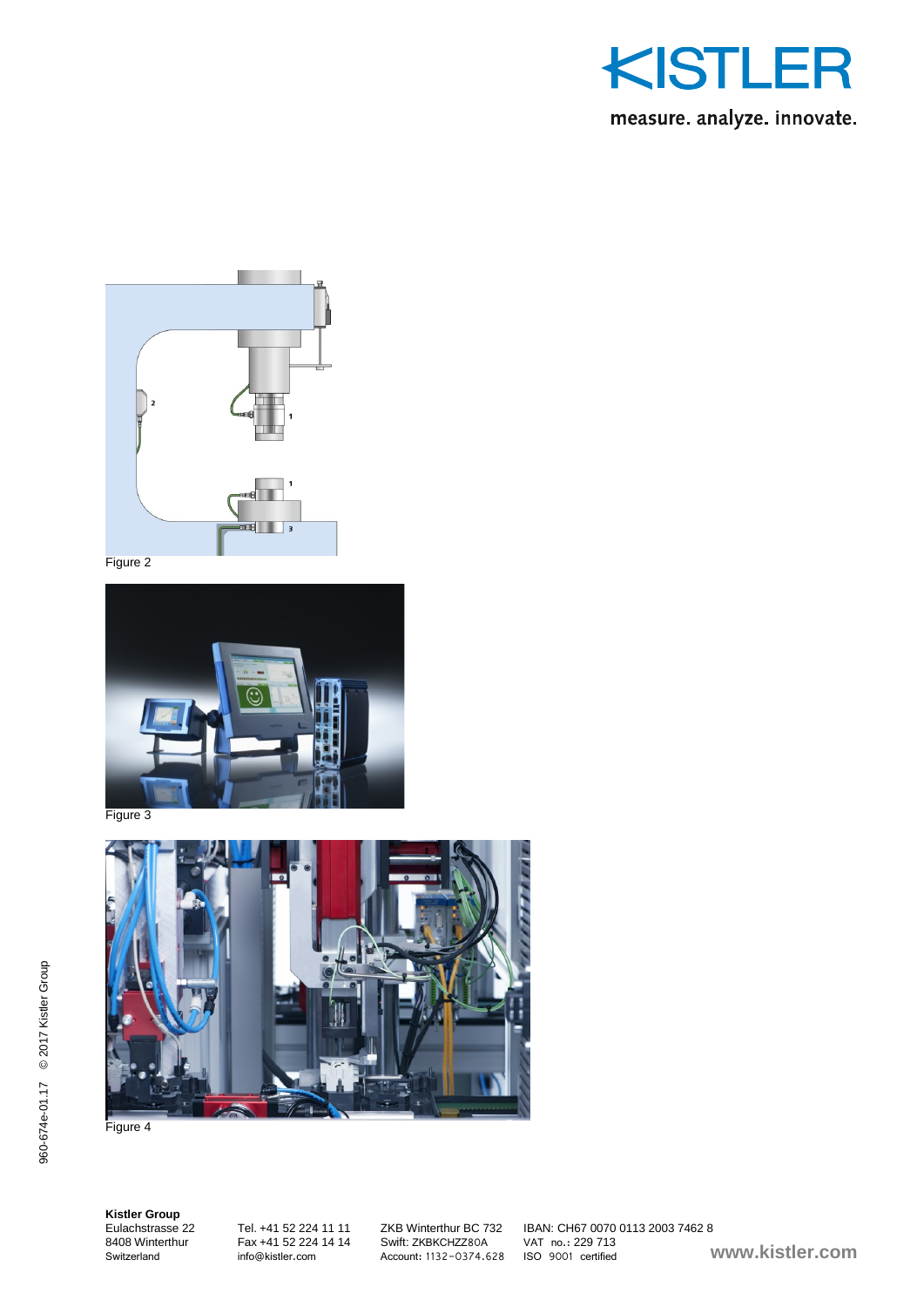



Figure 2



Figure 3



Figure 4

**Kistler Group**

8408 Winterthur Fax +41 52 224 14 14<br>Switzerland info@kistler.com

Eulachstrasse 22 Tel. +41 52 224 11 11 ZKB Winterthur BC 732 IBAN: CH67 0070 0113 2003 7462 8 SWITI: ZKBKCHZZ80A VAT no.: 229 / 13<br>Account: 1132-0374.628 ISO 9001 certified **www.kistler.com**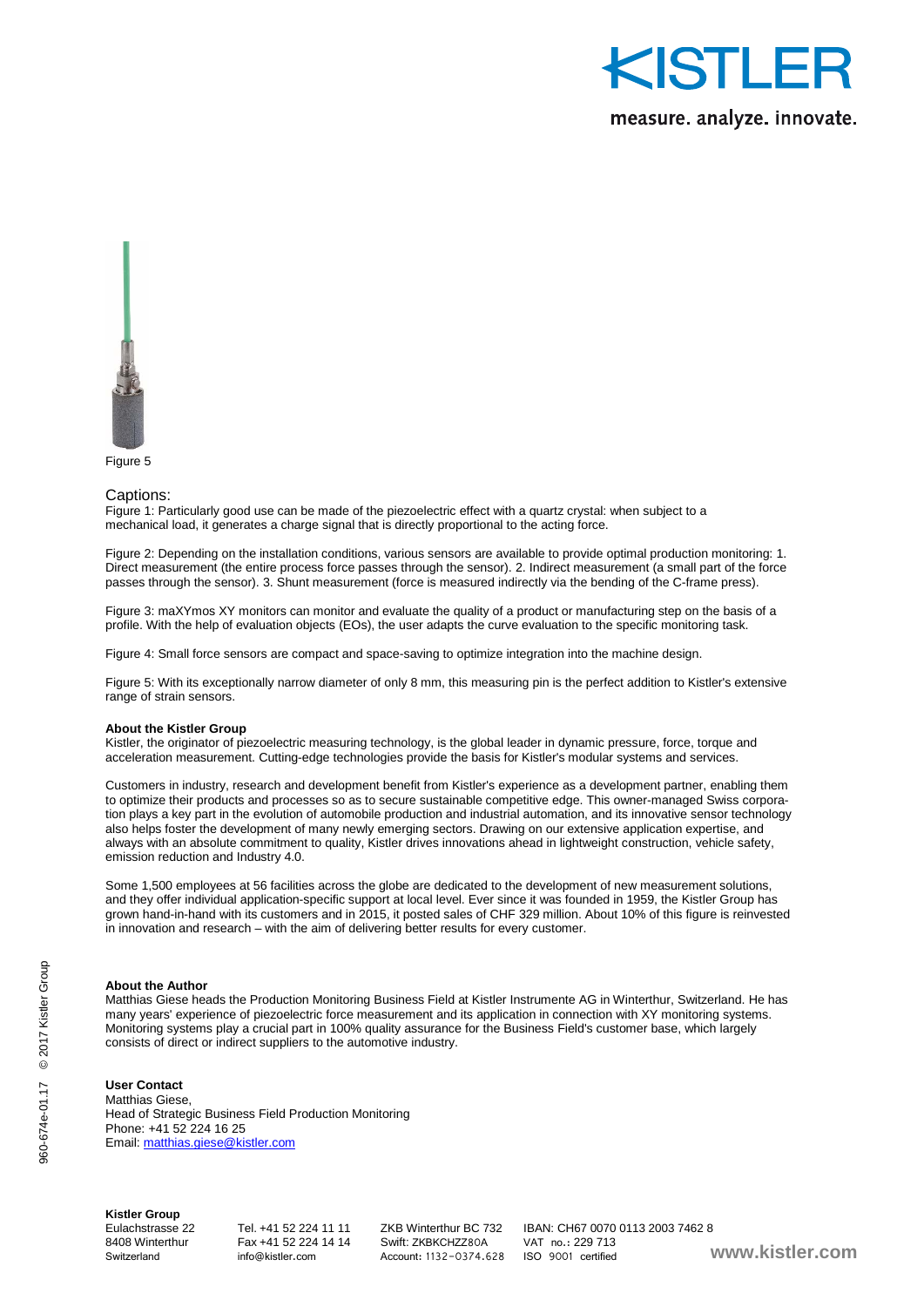

measure. analyze. innovate.



Figure 5

#### Captions:

Figure 1: Particularly good use can be made of the piezoelectric effect with a quartz crystal: when subject to a mechanical load, it generates a charge signal that is directly proportional to the acting force.

Figure 2: Depending on the installation conditions, various sensors are available to provide optimal production monitoring: 1. Direct measurement (the entire process force passes through the sensor). 2. Indirect measurement (a small part of the force passes through the sensor). 3. Shunt measurement (force is measured indirectly via the bending of the C-frame press).

Figure 3: maXYmos XY monitors can monitor and evaluate the quality of a product or manufacturing step on the basis of a profile. With the help of evaluation objects (EOs), the user adapts the curve evaluation to the specific monitoring task.

Figure 4: Small force sensors are compact and space-saving to optimize integration into the machine design.

Figure 5: With its exceptionally narrow diameter of only 8 mm, this measuring pin is the perfect addition to Kistler's extensive range of strain sensors.

#### **About the Kistler Group**

Kistler, the originator of piezoelectric measuring technology, is the global leader in dynamic pressure, force, torque and acceleration measurement. Cutting-edge technologies provide the basis for Kistler's modular systems and services.

Customers in industry, research and development benefit from Kistler's experience as a development partner, enabling them to optimize their products and processes so as to secure sustainable competitive edge. This owner-managed Swiss corporation plays a key part in the evolution of automobile production and industrial automation, and its innovative sensor technology also helps foster the development of many newly emerging sectors. Drawing on our extensive application expertise, and always with an absolute commitment to quality, Kistler drives innovations ahead in lightweight construction, vehicle safety, emission reduction and Industry 4.0.

Some 1,500 employees at 56 facilities across the globe are dedicated to the development of new measurement solutions, and they offer individual application-specific support at local level. Ever since it was founded in 1959, the Kistler Group has grown hand-in-hand with its customers and in 2015, it posted sales of CHF 329 million. About 10% of this figure is reinvested in innovation and research – with the aim of delivering better results for every customer.

#### **About the Author**

Matthias Giese heads the Production Monitoring Business Field at Kistler Instrumente AG in Winterthur, Switzerland. He has many years' experience of piezoelectric force measurement and its application in connection with XY monitoring systems. Monitoring systems play a crucial part in 100% quality assurance for the Business Field's customer base, which largely consists of direct or indirect suppliers to the automotive industry.

#### **User Contact**

Matthias Giese, Head of Strategic Business Field Production Monitoring Phone: +41 52 224 16 25 Email[: matthias.giese@kistler.com](mailto:matthias.giese@kistler.com)

**Kistler Group**

Fax +41 52 224 14 14<br>info@kistler.com